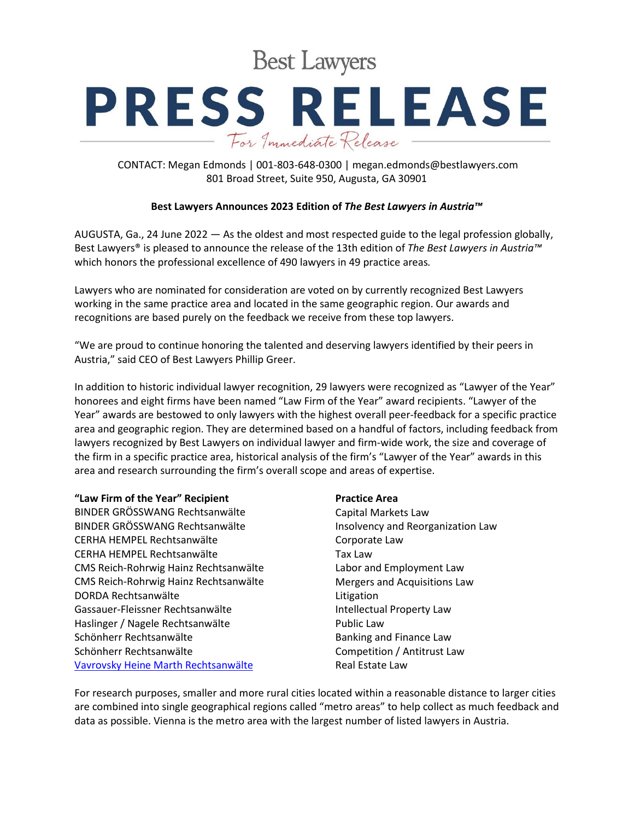**Best Lawyers** 

# **PRESS RELEASE** For Immediate Release

CONTACT: Megan Edmonds | 001-803-648-0300 | megan.edmonds@bestlawyers.com 801 Broad Street, Suite 950, Augusta, GA 30901

## **Best Lawyers Announces 2023 Edition of** *The Best Lawyers in Austria™*

AUGUSTA, Ga., 24 June 2022 — As the oldest and most respected guide to the legal profession globally, Best Lawyers® is pleased to announce the release of the 13th edition of *The Best Lawyers in Austria™* which honors the professional excellence of 490 lawyers in 49 practice areas*.*

Lawyers who are nominated for consideration are voted on by currently recognized Best Lawyers working in the same practice area and located in the same geographic region. Our awards and recognitions are based purely on the feedback we receive from these top lawyers.

"We are proud to continue honoring the talented and deserving lawyers identified by their peers in Austria," said CEO of Best Lawyers Phillip Greer.

In addition to historic individual lawyer recognition, 29 lawyers were recognized as "Lawyer of the Year" honorees and eight firms have been named "Law Firm of the Year" award recipients. "Lawyer of the Year" awards are bestowed to only lawyers with the highest overall peer-feedback for a specific practice area and geographic region. They are determined based on a handful of factors, including feedback from lawyers recognized by Best Lawyers on individual lawyer and firm-wide work, the size and coverage of the firm in a specific practice area, historical analysis of the firm's "Lawyer of the Year" awards in this area and research surrounding the firm's overall scope and areas of expertise.

### **"Law Firm of the Year" Recipient**

BINDER GRÖSSWANG Rechtsanwälte BINDER GRÖSSWANG Rechtsanwälte CERHA HEMPEL Rechtsanwälte CERHA HEMPEL Rechtsanwälte CMS Reich-Rohrwig Hainz Rechtsanwälte CMS Reich-Rohrwig Hainz Rechtsanwälte DORDA Rechtsanwälte Gassauer-Fleissner Rechtsanwälte Haslinger / Nagele Rechtsanwälte Schönherr Rechtsanwälte Schönherr Rechtsanwälte [Vavrovsky Heine Marth Rechtsanwälte](https://www.bestlawyers.com/firms/vavrovsky-heine-marth-rechtsanwalte-gmbh/66727/AT)

### **Practice Area**

Capital Markets Law Insolvency and Reorganization Law Corporate Law Tax Law Labor and Employment Law Mergers and Acquisitions Law Litigation Intellectual Property Law Public Law Banking and Finance Law Competition / Antitrust Law Real Estate Law

For research purposes, smaller and more rural cities located within a reasonable distance to larger cities are combined into single geographical regions called "metro areas" to help collect as much feedback and data as possible. Vienna is the metro area with the largest number of listed lawyers in Austria.